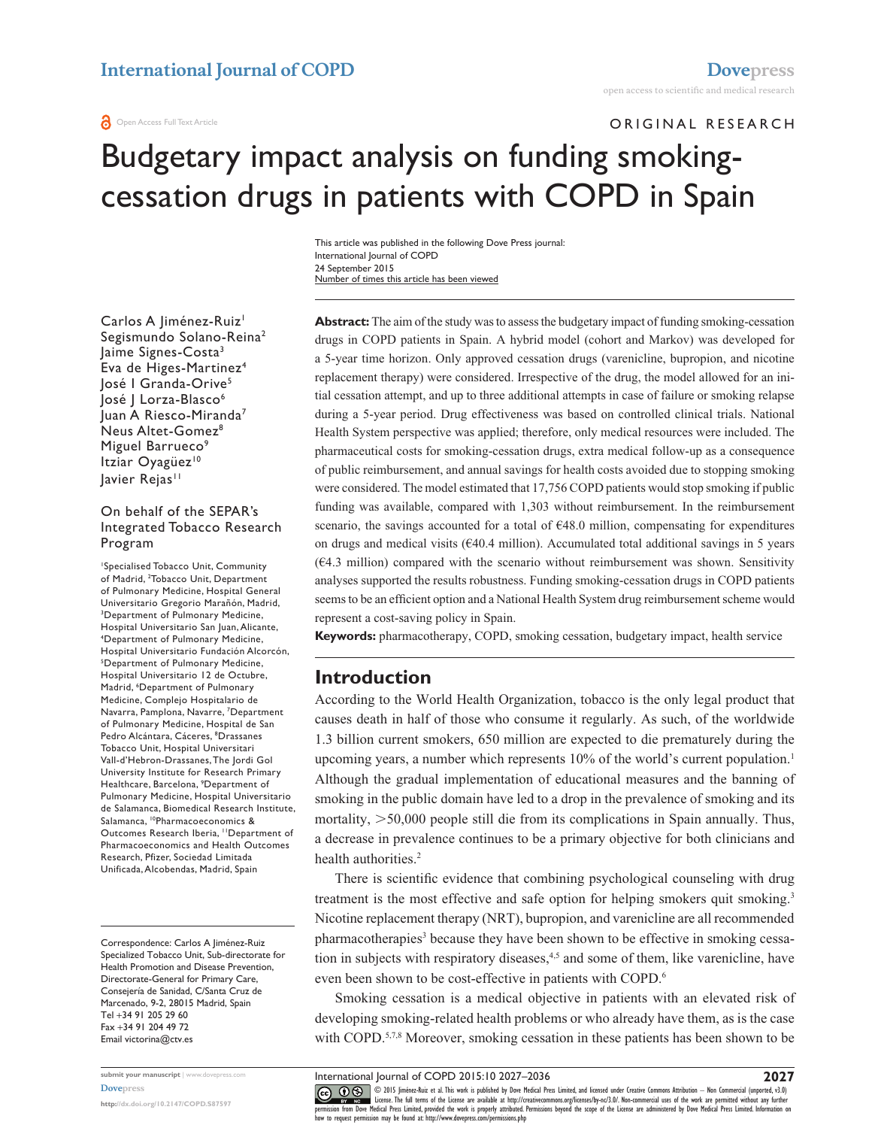**O** Open Access Full Text Article

ORIGINAL RESEARCH

# Budgetary impact analysis on funding smokingcessation drugs in patients with COPD in Spain

Number of times this article has been viewed This article was published in the following Dove Press journal: International Journal of COPD 24 September 2015

Carlos A Jiménez-Ruiz<sup>1</sup> Segismundo Solano-Reina2 Jaime Signes-Costa3 Eva de Higes-Martinez4 José I Granda-Orive<sup>5</sup> José | Lorza-Blasco<sup>6</sup> Juan A Riesco-Miranda7 Neus Altet-Gomez<sup>8</sup> Miguel Barrueco<sup>9</sup> Itziar Oyagüez<sup>10</sup> lavier Rejas<sup>11</sup>

#### On behalf of the SEPAR's Integrated Tobacco Research Program

1 Specialised Tobacco Unit, Community of Madrid, 2 Tobacco Unit, Department of Pulmonary Medicine, Hospital General Universitario Gregorio Marañón, Madrid, 3 Department of Pulmonary Medicine, Hospital Universitario San Juan, Alicante, 4 Department of Pulmonary Medicine, Hospital Universitario Fundación Alcorcón, 5 Department of Pulmonary Medicine, Hospital Universitario 12 de Octubre, Madrid, <sup>6</sup>Department of Pulmonary Medicine, Complejo Hospitalario de Navarra, Pamplona, Navarre, 7 Department of Pulmonary Medicine, Hospital de San Pedro Alcántara, Cáceres, 8 Drassanes Tobacco Unit, Hospital Universitari Vall-d'Hebron-Drassanes, The Jordi Gol University Institute for Research Primary Healthcare, Barcelona, 9 Department of Pulmonary Medicine, Hospital Universitario de Salamanca, Biomedical Research Institute, Salamanca, 10Pharmacoeconomics & Outcomes Research Iberia, <sup>11</sup>Department of Pharmacoeconomics and Health Outcomes Research, Pfizer, Sociedad Limitada Unificada, Alcobendas, Madrid, Spain

Correspondence: Carlos A Jiménez-Ruiz Specialized Tobacco Unit, Sub-directorate for Health Promotion and Disease Prevention, Directorate-General for Primary Care, Consejería de Sanidad, C/Santa Cruz de Marcenado, 9-2, 28015 Madrid, Spain Tel +34 91 205 29 60 Fax +34 91 204 49 72 Email [victorina@ctv.es](mailto:victorina@ctv.es)

**submit your manuscript** | <www.dovepress.com> **[Dovepress](www.dovepress.com)**

**<http://dx.doi.org/10.2147/COPD.S87597>**

**Abstract:** The aim of the study was to assess the budgetary impact of funding smoking-cessation drugs in COPD patients in Spain. A hybrid model (cohort and Markov) was developed for a 5-year time horizon. Only approved cessation drugs (varenicline, bupropion, and nicotine replacement therapy) were considered. Irrespective of the drug, the model allowed for an initial cessation attempt, and up to three additional attempts in case of failure or smoking relapse during a 5-year period. Drug effectiveness was based on controlled clinical trials. National Health System perspective was applied; therefore, only medical resources were included. The pharmaceutical costs for smoking-cessation drugs, extra medical follow-up as a consequence of public reimbursement, and annual savings for health costs avoided due to stopping smoking were considered. The model estimated that 17,756 COPD patients would stop smoking if public funding was available, compared with 1,303 without reimbursement. In the reimbursement scenario, the savings accounted for a total of  $648.0$  million, compensating for expenditures on drugs and medical visits ( $\epsilon$ 40.4 million). Accumulated total additional savings in 5 years  $(64.3 \text{ million})$  compared with the scenario without reimbursement was shown. Sensitivity analyses supported the results robustness. Funding smoking-cessation drugs in COPD patients seems to be an efficient option and a National Health System drug reimbursement scheme would represent a cost-saving policy in Spain.

**Keywords:** pharmacotherapy, COPD, smoking cessation, budgetary impact, health service

### **Introduction**

According to the World Health Organization, tobacco is the only legal product that causes death in half of those who consume it regularly. As such, of the worldwide 1.3 billion current smokers, 650 million are expected to die prematurely during the upcoming years, a number which represents 10% of the world's current population.<sup>1</sup> Although the gradual implementation of educational measures and the banning of smoking in the public domain have led to a drop in the prevalence of smoking and its mortality,  $> 50,000$  people still die from its complications in Spain annually. Thus, a decrease in prevalence continues to be a primary objective for both clinicians and health authorities.<sup>2</sup>

There is scientific evidence that combining psychological counseling with drug treatment is the most effective and safe option for helping smokers quit smoking.<sup>3</sup> Nicotine replacement therapy (NRT), bupropion, and varenicline are all recommended pharmacotherapies<sup>3</sup> because they have been shown to be effective in smoking cessation in subjects with respiratory diseases,<sup>4,5</sup> and some of them, like varenicline, have even been shown to be cost-effective in patients with COPD.6

Smoking cessation is a medical objective in patients with an elevated risk of developing smoking-related health problems or who already have them, as is the case with COPD.<sup>5,7,8</sup> Moreover, smoking cessation in these patients has been shown to be

International Journal of COPD 2015:10 2027–2036

CO ODIS Jiménez-Ruiz et al. This work is published by Dove Medical Press Limited, and licensed under Creative Commons Attribution — Non Commercial (unported, v3.0)<br> [permission from Dove M](http://www.dovepress.com/permissions.php)edical Press Limited, provided the how to request permission may be found at: http://www.dovepress.com/permissions.php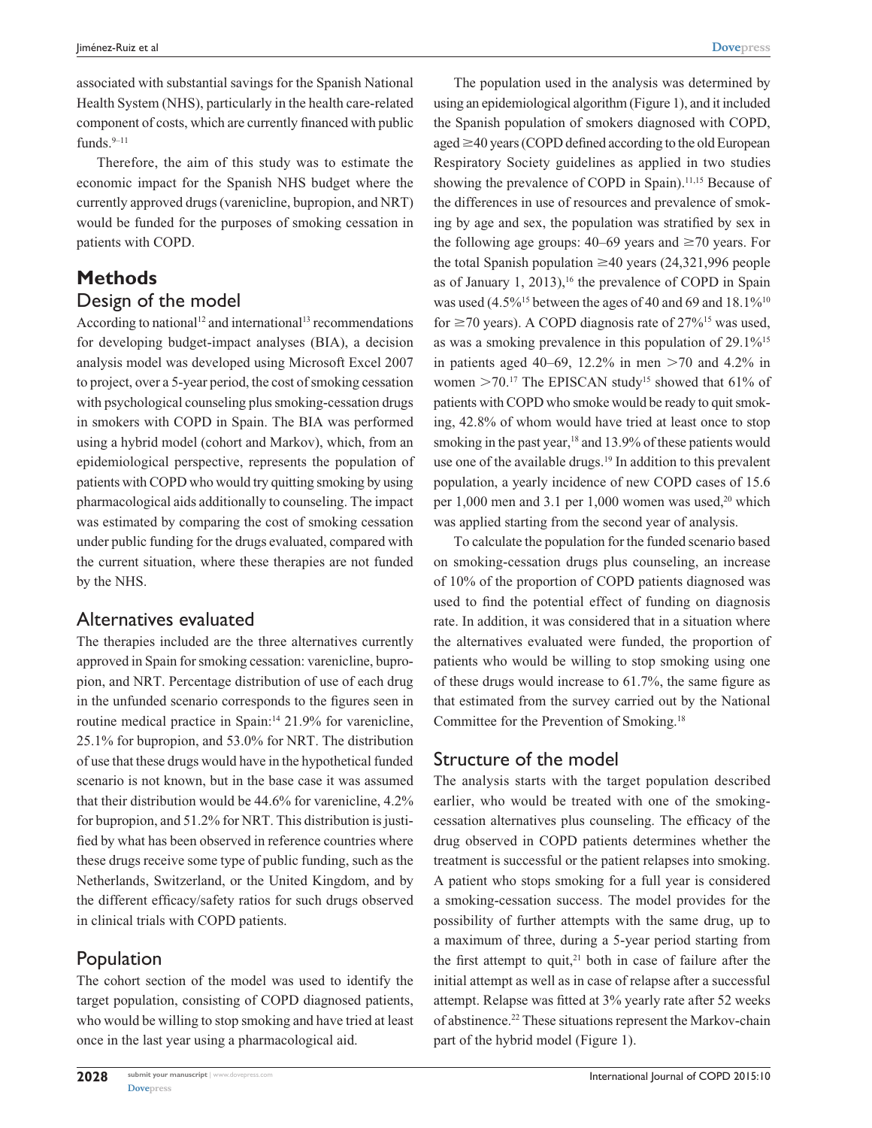associated with substantial savings for the Spanish National Health System (NHS), particularly in the health care-related component of costs, which are currently financed with public funds. $9-11$ 

Therefore, the aim of this study was to estimate the economic impact for the Spanish NHS budget where the currently approved drugs (varenicline, bupropion, and NRT) would be funded for the purposes of smoking cessation in patients with COPD.

## **Methods**

### Design of the model

According to national<sup>12</sup> and international<sup>13</sup> recommendations for developing budget-impact analyses (BIA), a decision analysis model was developed using Microsoft Excel 2007 to project, over a 5-year period, the cost of smoking cessation with psychological counseling plus smoking-cessation drugs in smokers with COPD in Spain. The BIA was performed using a hybrid model (cohort and Markov), which, from an epidemiological perspective, represents the population of patients with COPD who would try quitting smoking by using pharmacological aids additionally to counseling. The impact was estimated by comparing the cost of smoking cessation under public funding for the drugs evaluated, compared with the current situation, where these therapies are not funded by the NHS.

### Alternatives evaluated

The therapies included are the three alternatives currently approved in Spain for smoking cessation: varenicline, bupropion, and NRT. Percentage distribution of use of each drug in the unfunded scenario corresponds to the figures seen in routine medical practice in Spain:<sup>14</sup> 21.9% for varenicline, 25.1% for bupropion, and 53.0% for NRT. The distribution of use that these drugs would have in the hypothetical funded scenario is not known, but in the base case it was assumed that their distribution would be 44.6% for varenicline, 4.2% for bupropion, and 51.2% for NRT. This distribution is justified by what has been observed in reference countries where these drugs receive some type of public funding, such as the Netherlands, Switzerland, or the United Kingdom, and by the different efficacy/safety ratios for such drugs observed in clinical trials with COPD patients.

### Population

The cohort section of the model was used to identify the target population, consisting of COPD diagnosed patients, who would be willing to stop smoking and have tried at least once in the last year using a pharmacological aid.

The population used in the analysis was determined by using an epidemiological algorithm (Figure 1), and it included the Spanish population of smokers diagnosed with COPD, aged  $\geq$ 40 years (COPD defined according to the old European Respiratory Society guidelines as applied in two studies showing the prevalence of COPD in Spain).<sup>11,15</sup> Because of the differences in use of resources and prevalence of smoking by age and sex, the population was stratified by sex in the following age groups:  $40-69$  years and  $\geq 70$  years. For the total Spanish population  $\geq 40$  years (24,321,996 people as of January 1, 2013), $16$  the prevalence of COPD in Spain was used  $(4.5\%^{15}$  between the ages of 40 and 69 and 18.1%<sup>10</sup> for  $\geq$  70 years). A COPD diagnosis rate of 27%<sup>15</sup> was used, as was a smoking prevalence in this population of 29.1%15 in patients aged 40–69, 12.2% in men  $>70$  and 4.2% in women  $>$  70.<sup>17</sup> The EPISCAN study<sup>15</sup> showed that 61% of patients with COPD who smoke would be ready to quit smoking, 42.8% of whom would have tried at least once to stop smoking in the past year, $18$  and 13.9% of these patients would use one of the available drugs.<sup>19</sup> In addition to this prevalent population, a yearly incidence of new COPD cases of 15.6 per  $1,000$  men and  $3.1$  per  $1,000$  women was used,<sup>20</sup> which was applied starting from the second year of analysis.

To calculate the population for the funded scenario based on smoking-cessation drugs plus counseling, an increase of 10% of the proportion of COPD patients diagnosed was used to find the potential effect of funding on diagnosis rate. In addition, it was considered that in a situation where the alternatives evaluated were funded, the proportion of patients who would be willing to stop smoking using one of these drugs would increase to 61.7%, the same figure as that estimated from the survey carried out by the National Committee for the Prevention of Smoking.18

### Structure of the model

The analysis starts with the target population described earlier, who would be treated with one of the smokingcessation alternatives plus counseling. The efficacy of the drug observed in COPD patients determines whether the treatment is successful or the patient relapses into smoking. A patient who stops smoking for a full year is considered a smoking-cessation success. The model provides for the possibility of further attempts with the same drug, up to a maximum of three, during a 5-year period starting from the first attempt to quit, $21$  both in case of failure after the initial attempt as well as in case of relapse after a successful attempt. Relapse was fitted at 3% yearly rate after 52 weeks of abstinence.22 These situations represent the Markov-chain part of the hybrid model (Figure 1).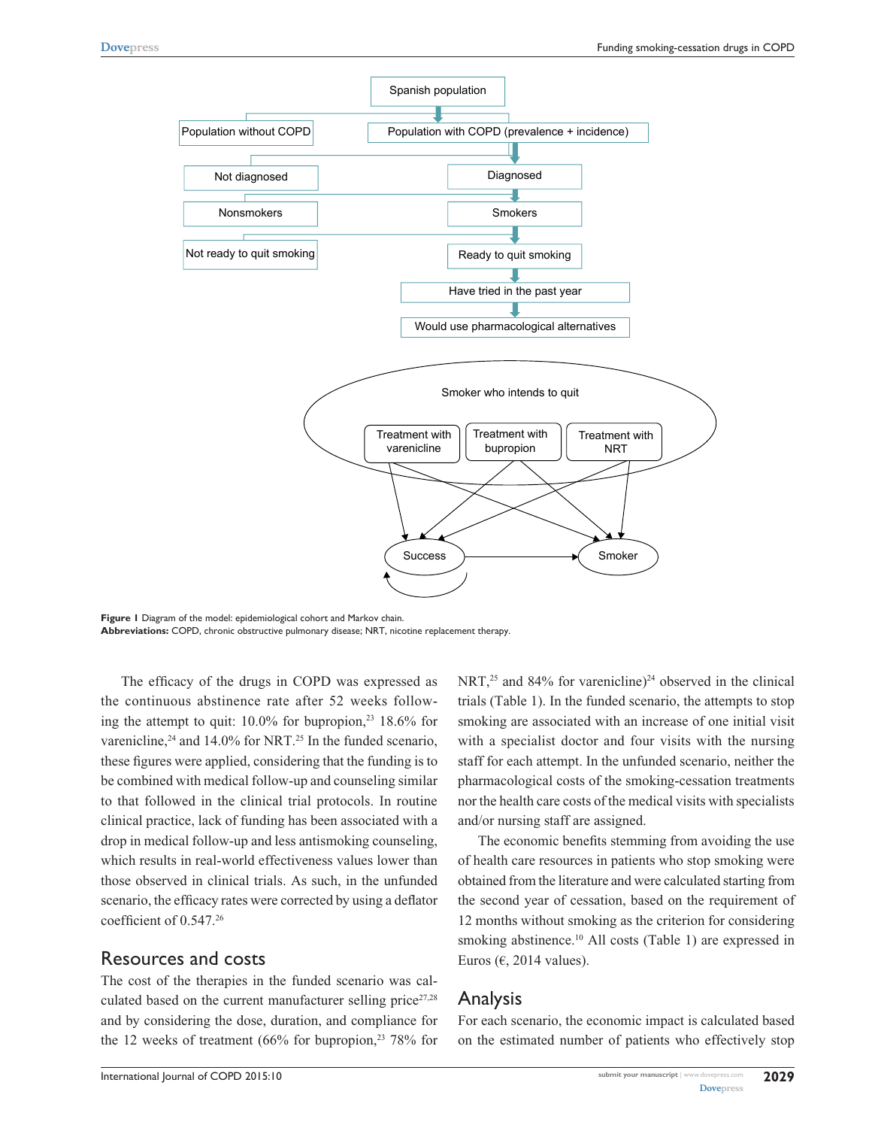

**Figure 1** Diagram of the model: epidemiological cohort and Markov chain. **Abbreviations:** COPD, chronic obstructive pulmonary disease; NRT, nicotine replacement therapy.

The efficacy of the drugs in COPD was expressed as the continuous abstinence rate after 52 weeks following the attempt to quit: 10.0% for bupropion,<sup>23</sup> 18.6% for varenicline,<sup>24</sup> and  $14.0\%$  for NRT.<sup>25</sup> In the funded scenario, these figures were applied, considering that the funding is to be combined with medical follow-up and counseling similar to that followed in the clinical trial protocols. In routine clinical practice, lack of funding has been associated with a drop in medical follow-up and less antismoking counseling, which results in real-world effectiveness values lower than those observed in clinical trials. As such, in the unfunded scenario, the efficacy rates were corrected by using a deflator coefficient of 0.547.26

#### Resources and costs

The cost of the therapies in the funded scenario was calculated based on the current manufacturer selling price $27,28$ and by considering the dose, duration, and compliance for the 12 weeks of treatment (66% for bupropion, $23$  78% for NRT,<sup>25</sup> and 84% for varenicline)<sup>24</sup> observed in the clinical trials (Table 1). In the funded scenario, the attempts to stop smoking are associated with an increase of one initial visit with a specialist doctor and four visits with the nursing staff for each attempt. In the unfunded scenario, neither the pharmacological costs of the smoking-cessation treatments nor the health care costs of the medical visits with specialists and/or nursing staff are assigned.

The economic benefits stemming from avoiding the use of health care resources in patients who stop smoking were obtained from the literature and were calculated starting from the second year of cessation, based on the requirement of 12 months without smoking as the criterion for considering smoking abstinence.<sup>10</sup> All costs (Table 1) are expressed in Euros ( $\epsilon$ , 2014 values).

### Analysis

For each scenario, the economic impact is calculated based on the estimated number of patients who effectively stop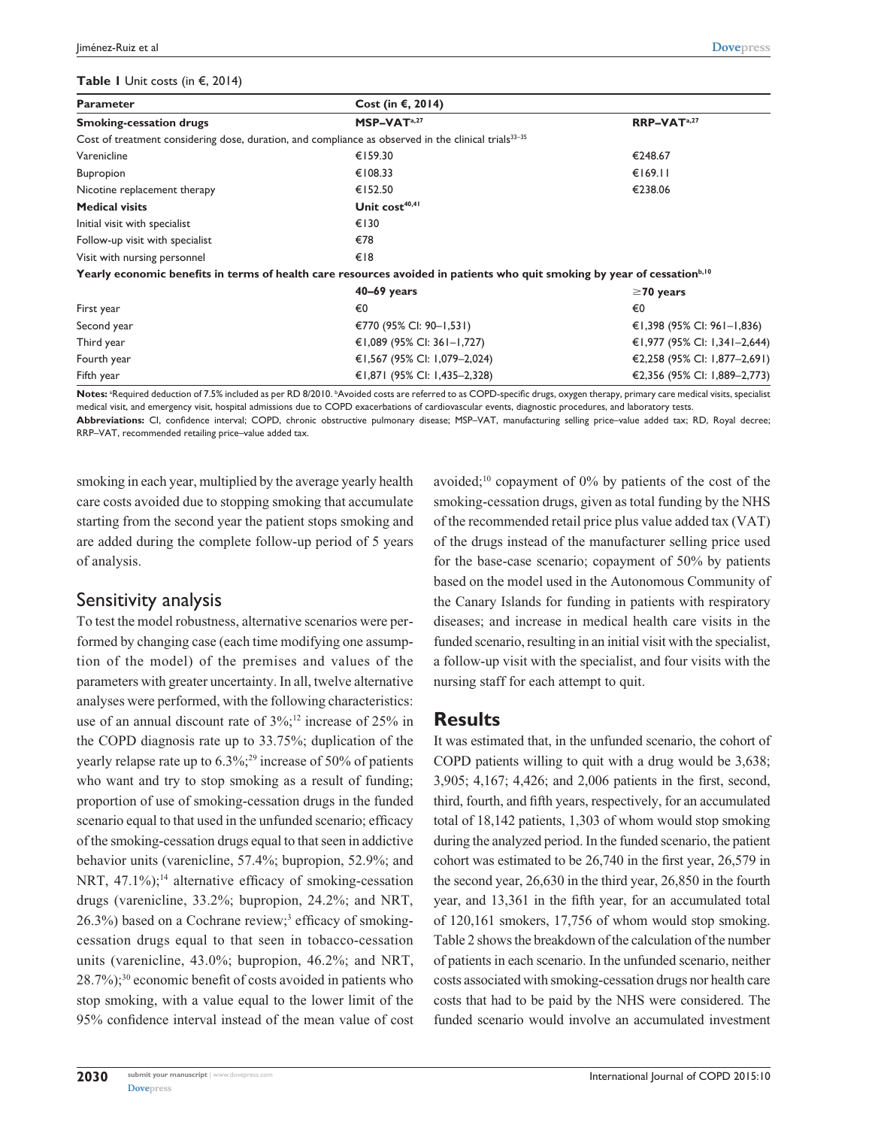#### **Table 1** Unit costs (in €, 2014)

| <b>Parameter</b>                | Cost (in $\epsilon$ , 2014)                                                                                                          |                              |
|---------------------------------|--------------------------------------------------------------------------------------------------------------------------------------|------------------------------|
| <b>Smoking-cessation drugs</b>  | MSP-VAT <sup>a,27</sup>                                                                                                              | RRP-VAT <sup>a,27</sup>      |
|                                 | Cost of treatment considering dose, duration, and compliance as observed in the clinical trials <sup>33-35</sup>                     |                              |
| Varenicline                     | €159.30                                                                                                                              | €248.67                      |
| Bupropion                       | €108.33                                                                                                                              | €169.11                      |
| Nicotine replacement therapy    | €152.50                                                                                                                              | €238.06                      |
| <b>Medical visits</b>           | Unit cost <sup>40,41</sup>                                                                                                           |                              |
| Initial visit with specialist   | €130                                                                                                                                 |                              |
| Follow-up visit with specialist | €78                                                                                                                                  |                              |
| Visit with nursing personnel    | €18                                                                                                                                  |                              |
|                                 | Yearly economic benefits in terms of health care resources avoided in patients who quit smoking by year of cessation <sup>b,10</sup> |                              |
|                                 | $40-69$ years                                                                                                                        | $\geq$ 70 years              |
| First year                      | €0                                                                                                                                   | €0                           |
| Second year                     | €770 (95% CI: 90-1,531)                                                                                                              | €1,398 (95% CI: 961–1,836)   |
|                                 | €1,089 (95% CI: 361–1,727)                                                                                                           | €1,977 (95% CI: 1,341–2,644) |
|                                 | €1,567 (95% CI: 1,079-2,024)                                                                                                         | €2,258 (95% CI: 1,877-2,691) |
| Fifth year                      | €1,871 (95% CI: 1,435–2,328)                                                                                                         | €2,356 (95% CI: 1,889–2,773) |
| Third year<br>Fourth year       | $\blacksquare$                                                                                                                       |                              |

Notes: <sup>a</sup>Required deduction of 7.5% included as per RD 8/2010. <sup>b</sup>Avoided costs are referred to as COPD-specific drugs, oxygen therapy, primary care medical visits, specialist medical visit, and emergency visit, hospital admissions due to COPD exacerbations of cardiovascular events, diagnostic procedures, and laboratory tests.

**Abbreviations:** CI, confidence interval; COPD, chronic obstructive pulmonary disease; MSP–VAT, manufacturing selling price–value added tax; RD, Royal decree; RRP–VAT, recommended retailing price–value added tax.

smoking in each year, multiplied by the average yearly health care costs avoided due to stopping smoking that accumulate starting from the second year the patient stops smoking and are added during the complete follow-up period of 5 years of analysis.

### Sensitivity analysis

To test the model robustness, alternative scenarios were performed by changing case (each time modifying one assumption of the model) of the premises and values of the parameters with greater uncertainty. In all, twelve alternative analyses were performed, with the following characteristics: use of an annual discount rate of  $3\%$ ;<sup>12</sup> increase of 25% in the COPD diagnosis rate up to 33.75%; duplication of the yearly relapse rate up to  $6.3\%$ ;<sup>29</sup> increase of 50% of patients who want and try to stop smoking as a result of funding; proportion of use of smoking-cessation drugs in the funded scenario equal to that used in the unfunded scenario; efficacy of the smoking-cessation drugs equal to that seen in addictive behavior units (varenicline, 57.4%; bupropion, 52.9%; and NRT,  $47.1\%$ ;<sup>14</sup> alternative efficacy of smoking-cessation drugs (varenicline, 33.2%; bupropion, 24.2%; and NRT, 26.3%) based on a Cochrane review;<sup>3</sup> efficacy of smokingcessation drugs equal to that seen in tobacco-cessation units (varenicline, 43.0%; bupropion, 46.2%; and NRT, 28.7%);30 economic benefit of costs avoided in patients who stop smoking, with a value equal to the lower limit of the 95% confidence interval instead of the mean value of cost avoided;<sup>10</sup> copayment of  $0\%$  by patients of the cost of the smoking-cessation drugs, given as total funding by the NHS of the recommended retail price plus value added tax (VAT) of the drugs instead of the manufacturer selling price used for the base-case scenario; copayment of 50% by patients based on the model used in the Autonomous Community of the Canary Islands for funding in patients with respiratory diseases; and increase in medical health care visits in the funded scenario, resulting in an initial visit with the specialist, a follow-up visit with the specialist, and four visits with the nursing staff for each attempt to quit.

### **Results**

It was estimated that, in the unfunded scenario, the cohort of COPD patients willing to quit with a drug would be 3,638; 3,905; 4,167; 4,426; and 2,006 patients in the first, second, third, fourth, and fifth years, respectively, for an accumulated total of 18,142 patients, 1,303 of whom would stop smoking during the analyzed period. In the funded scenario, the patient cohort was estimated to be 26,740 in the first year, 26,579 in the second year, 26,630 in the third year, 26,850 in the fourth year, and 13,361 in the fifth year, for an accumulated total of 120,161 smokers, 17,756 of whom would stop smoking. Table 2 shows the breakdown of the calculation of the number of patients in each scenario. In the unfunded scenario, neither costs associated with smoking-cessation drugs nor health care costs that had to be paid by the NHS were considered. The funded scenario would involve an accumulated investment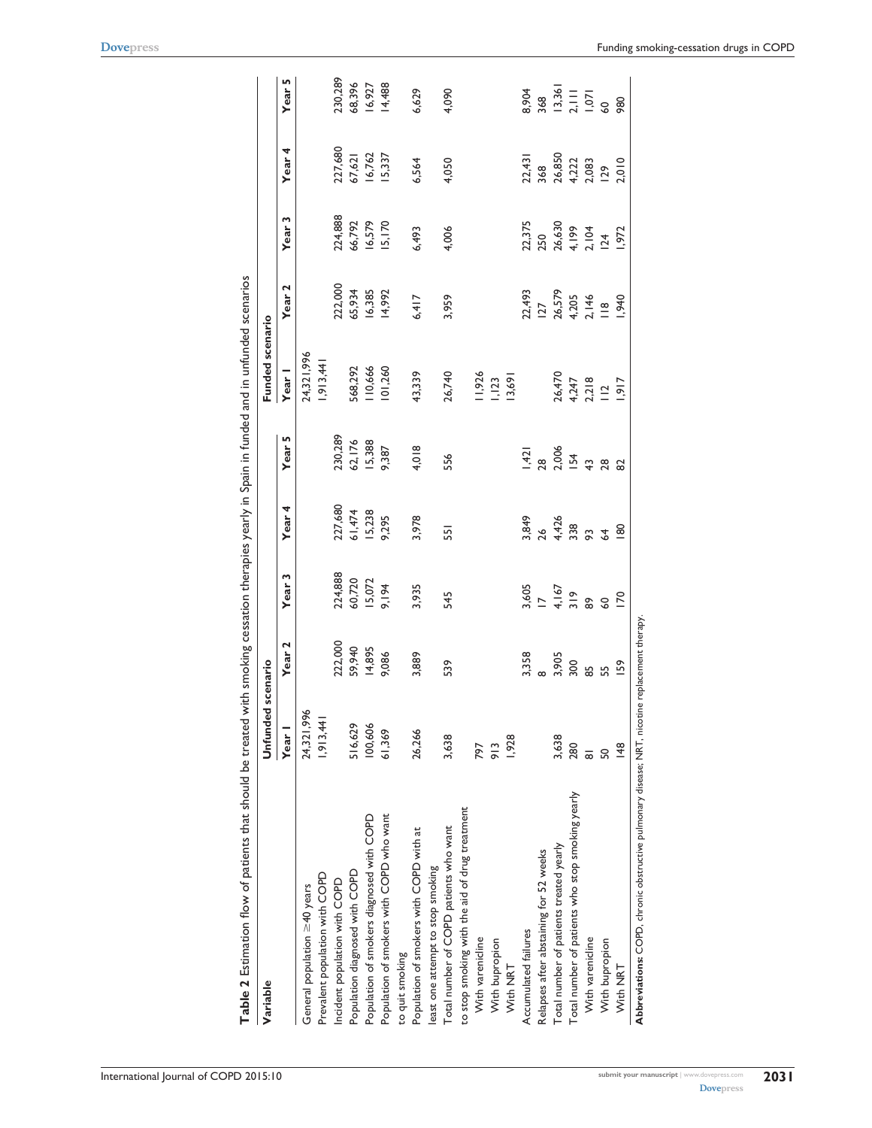| Variable                                                                                      | Unfunded scenario |                                      |                                             |                                      |                             | Funded scenario                            |                                                    |                                                    |                                                                |                                     |
|-----------------------------------------------------------------------------------------------|-------------------|--------------------------------------|---------------------------------------------|--------------------------------------|-----------------------------|--------------------------------------------|----------------------------------------------------|----------------------------------------------------|----------------------------------------------------------------|-------------------------------------|
|                                                                                               | Year <sub>1</sub> | Year <sub>2</sub>                    | Year <sub>3</sub>                           | Year <sub>4</sub>                    | Year 5                      | Year I                                     | Year <sub>2</sub>                                  | Year <sub>3</sub>                                  | Year <sub>4</sub>                                              | Year 5                              |
| General population $\geq$ 40 years                                                            | 24,321,996        |                                      |                                             |                                      |                             | 24,321,996                                 |                                                    |                                                    |                                                                |                                     |
| Prevalent population with COPD                                                                | 1,913,441         |                                      |                                             |                                      |                             | 1,913,441                                  |                                                    |                                                    |                                                                |                                     |
| Incident population with COPD                                                                 |                   |                                      |                                             |                                      |                             |                                            |                                                    |                                                    |                                                                | 230,289                             |
| Population diagnosed with COPD                                                                | 516,629           |                                      |                                             |                                      |                             | 568,292                                    |                                                    |                                                    |                                                                |                                     |
| Population of smokers diagnosed with COPD                                                     | 100,606           | 222,000<br>59,940<br>14,895<br>9,086 | 224,888<br>60,720<br>15,072                 | 227,680<br>61,474<br>15,238<br>9,295 | 230,289<br>62,176<br>15,388 | 110,666                                    | 222,000<br>65,934<br>16,385                        |                                                    |                                                                | 68,396<br>16,927<br>14,488          |
| Population of smokers with COPD who want                                                      | 61,369            |                                      | 9,194                                       |                                      | 9,387                       | 101,260                                    | 14,992                                             | 224,888<br>66,792<br>16,579<br>15,170              | 227,680<br>67,621<br>16,762<br>15,337                          |                                     |
| to quit smoking                                                                               |                   |                                      |                                             |                                      |                             |                                            |                                                    |                                                    |                                                                |                                     |
| Population of smokers with COPD with at                                                       | 26,266            | 3,889                                | 3,935                                       | 3,978                                | 4,018                       | 43,339                                     | 6,417                                              | 6,493                                              | 6,564                                                          | 6,629                               |
| least one attempt to stop smoking                                                             |                   |                                      |                                             |                                      |                             |                                            |                                                    |                                                    |                                                                |                                     |
| Total number of COPD patients who want                                                        | 3,638             | 539                                  | 545                                         | 551                                  | 556                         | 26,740                                     | 3,959                                              | 4,006                                              | 4,050                                                          | 4,090                               |
| to stop smoking with the aid of drug treatment                                                |                   |                                      |                                             |                                      |                             |                                            |                                                    |                                                    |                                                                |                                     |
| With varenicline                                                                              | 797               |                                      |                                             |                                      |                             | 11,926                                     |                                                    |                                                    |                                                                |                                     |
| With bupropion                                                                                | 913               |                                      |                                             |                                      |                             | 1,123                                      |                                                    |                                                    |                                                                |                                     |
| With NRT                                                                                      | 1,928             |                                      |                                             |                                      |                             | 13,691                                     |                                                    |                                                    |                                                                |                                     |
| Accumulated failures                                                                          |                   | 3,358<br>8                           |                                             |                                      |                             |                                            |                                                    |                                                    |                                                                | 8,904                               |
| Relapses after abstaining for 52 weeks                                                        |                   |                                      |                                             |                                      |                             |                                            |                                                    |                                                    |                                                                |                                     |
| Total number of patients treated yearly                                                       | 3,638             | 3,905<br>300                         |                                             |                                      |                             |                                            |                                                    |                                                    |                                                                |                                     |
| Total number of patients who stop smoking yearly                                              | 280               |                                      | $3,605$<br>$17$<br>$4,167$<br>$319$<br>$89$ | 3.849<br>2.6428<br>3.85400           |                             | 26,470<br>4,247<br>4,218<br>1,917<br>1,917 | 22,493<br>127<br>26,579<br>4,205<br>1,940<br>1,940 | 22,375<br>250<br>26,630<br>4,199<br>1,972<br>1,972 | $72,431$ $368$ $36850$ $4,222$ $129$ $129$ $129$ $129$ $2,010$ | 368<br>13,361<br>1,071<br>60<br>980 |
| With varenicline                                                                              | ಹ                 | 58                                   |                                             |                                      |                             |                                            |                                                    |                                                    |                                                                |                                     |
| With bupropion                                                                                | S                 | 55                                   | 60                                          |                                      |                             |                                            |                                                    |                                                    |                                                                |                                     |
| With NRT                                                                                      | 148               | <b>159</b>                           | $\overline{170}$                            |                                      |                             |                                            |                                                    |                                                    |                                                                |                                     |
| Abbreviations: COPD, chronic obstructive pulmonary disease; NRT, nicotine replacement therapy |                   |                                      |                                             |                                      |                             |                                            |                                                    |                                                    |                                                                |                                     |

Table 2 Estimation flow of patients that should be treated with smoking cessation therapies yearly in Spain in funded and in unfunded scenarios **Table 2** Estimation flow of patients that should be treated with smoking cessation therapies yearly in Spain in funded and in unfunded scenarios

**[Dovepress](www.dovepress.com)**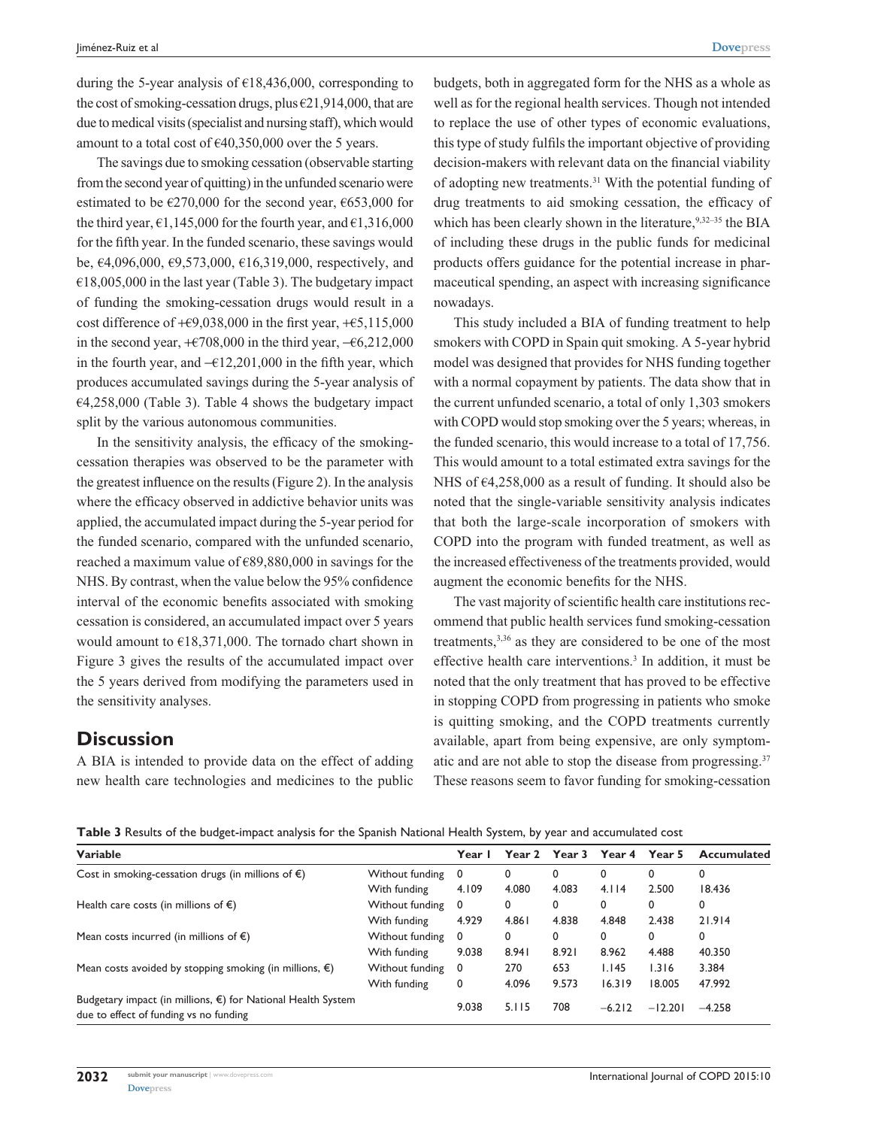during the 5-year analysis of  $\epsilon$ 18,436,000, corresponding to the cost of smoking-cessation drugs, plus  $\epsilon$ 21,914,000, that are due to medical visits (specialist and nursing staff), which would amount to a total cost of  $\epsilon$ 40,350,000 over the 5 years.

The savings due to smoking cessation (observable starting from the second year of quitting) in the unfunded scenario were estimated to be  $\epsilon$ 270,000 for the second year,  $\epsilon$ 653,000 for the third year,  $\epsilon$ 1,145,000 for the fourth year, and  $\epsilon$ 1,316,000 for the fifth year. In the funded scenario, these savings would be, €4,096,000, €9,573,000, €16,319,000, respectively, and  $€18,005,000$  in the last year (Table 3). The budgetary impact of funding the smoking-cessation drugs would result in a cost difference of  $+$  €9,038,000 in the first year,  $+$  €5,115,000 in the second year,  $+ \epsilon 708,000$  in the third year,  $- \epsilon 6,212,000$ in the fourth year, and  $-£12,201,000$  in the fifth year, which produces accumulated savings during the 5-year analysis of  $E4,258,000$  (Table 3). Table 4 shows the budgetary impact split by the various autonomous communities.

In the sensitivity analysis, the efficacy of the smokingcessation therapies was observed to be the parameter with the greatest influence on the results (Figure 2). In the analysis where the efficacy observed in addictive behavior units was applied, the accumulated impact during the 5-year period for the funded scenario, compared with the unfunded scenario, reached a maximum value of €89,880,000 in savings for the NHS. By contrast, when the value below the 95% confidence interval of the economic benefits associated with smoking cessation is considered, an accumulated impact over 5 years would amount to €18,371,000. The tornado chart shown in Figure 3 gives the results of the accumulated impact over the 5 years derived from modifying the parameters used in the sensitivity analyses.

### **Discussion**

A BIA is intended to provide data on the effect of adding new health care technologies and medicines to the public budgets, both in aggregated form for the NHS as a whole as well as for the regional health services. Though not intended to replace the use of other types of economic evaluations, this type of study fulfils the important objective of providing decision-makers with relevant data on the financial viability of adopting new treatments.31 With the potential funding of drug treatments to aid smoking cessation, the efficacy of which has been clearly shown in the literature,  $9,32-35$  the BIA of including these drugs in the public funds for medicinal products offers guidance for the potential increase in pharmaceutical spending, an aspect with increasing significance nowadays.

This study included a BIA of funding treatment to help smokers with COPD in Spain quit smoking. A 5-year hybrid model was designed that provides for NHS funding together with a normal copayment by patients. The data show that in the current unfunded scenario, a total of only 1,303 smokers with COPD would stop smoking over the 5 years; whereas, in the funded scenario, this would increase to a total of 17,756. This would amount to a total estimated extra savings for the NHS of  $\epsilon$ 4,258,000 as a result of funding. It should also be noted that the single-variable sensitivity analysis indicates that both the large-scale incorporation of smokers with COPD into the program with funded treatment, as well as the increased effectiveness of the treatments provided, would augment the economic benefits for the NHS.

The vast majority of scientific health care institutions recommend that public health services fund smoking-cessation treatments,<sup>3,36</sup> as they are considered to be one of the most effective health care interventions.3 In addition, it must be noted that the only treatment that has proved to be effective in stopping COPD from progressing in patients who smoke is quitting smoking, and the COPD treatments currently available, apart from being expensive, are only symptomatic and are not able to stop the disease from progressing.<sup>37</sup> These reasons seem to favor funding for smoking-cessation

**Table 3** Results of the budget-impact analysis for the Spanish National Health System, by year and accumulated cost

| Variable                                                                                                         |                 | Year  | Year 2 | Year 3 | Year 4   | Year 5    | Accumulated |
|------------------------------------------------------------------------------------------------------------------|-----------------|-------|--------|--------|----------|-----------|-------------|
| Cost in smoking-cessation drugs (in millions of $\epsilon$ )                                                     | Without funding | 0     | 0      | 0      | 0        | 0         | 0           |
|                                                                                                                  | With funding    | 4.109 | 4.080  | 4.083  | 4.114    | 2.500     | 18.436      |
| Health care costs (in millions of $\epsilon$ )                                                                   | Without funding | 0     | 0      | 0      | 0        | 0         | 0           |
|                                                                                                                  | With funding    | 4.929 | 4.861  | 4.838  | 4.848    | 2.438     | 21.914      |
| Mean costs incurred (in millions of $\epsilon$ )                                                                 | Without funding | 0     | 0      | 0      | 0        | 0         | 0           |
|                                                                                                                  | With funding    | 9.038 | 8.941  | 8.921  | 8.962    | 4.488     | 40.350      |
| Mean costs avoided by stopping smoking (in millions, $\epsilon$ )                                                | Without funding | 0     | 270    | 653    | 1.145    | 1.316     | 3.384       |
|                                                                                                                  | With funding    | 0     | 4.096  | 9.573  | 16.319   | 18.005    | 47.992      |
| Budgetary impact (in millions, $\epsilon$ ) for National Health System<br>due to effect of funding vs no funding |                 | 9.038 | 5.115  | 708    | $-6.212$ | $-12.201$ | $-4.258$    |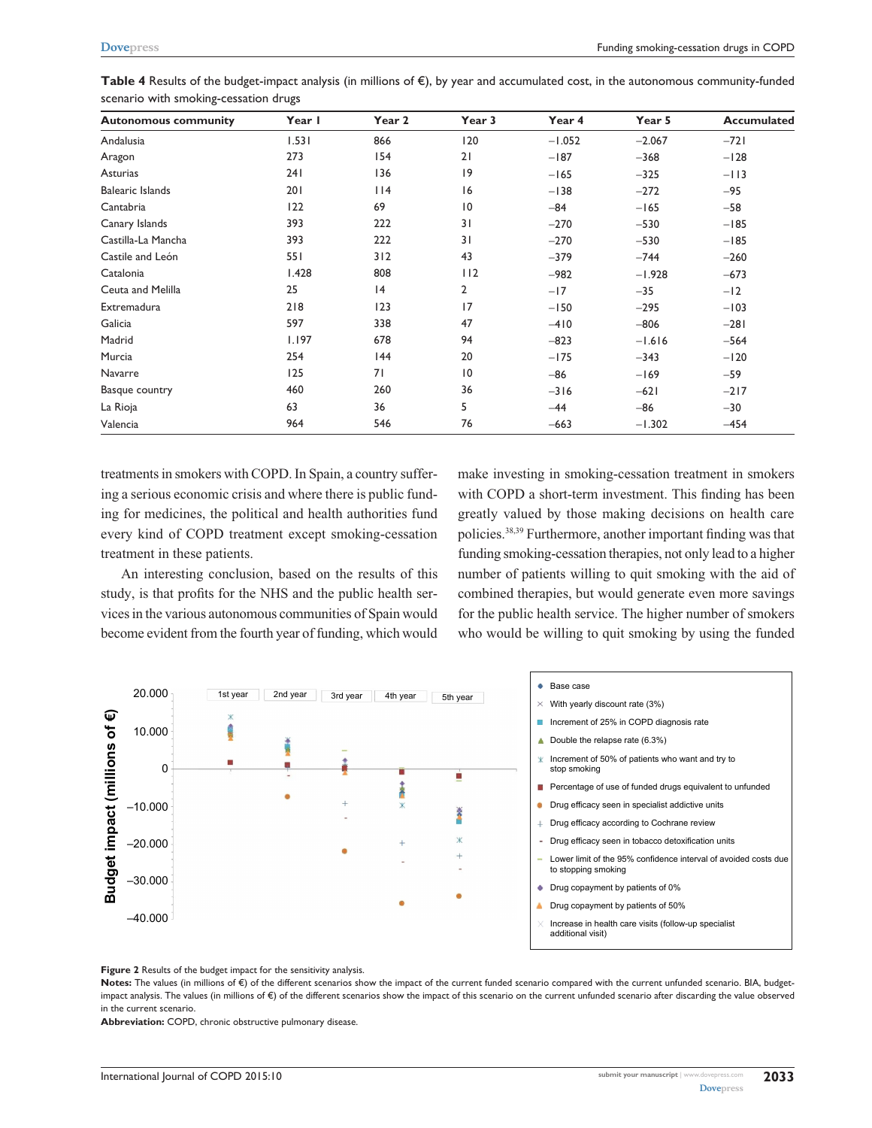| <b>Autonomous community</b> | Year I | Year 2 | Year 3          | Year 4   | Year 5   | Accumulated |
|-----------------------------|--------|--------|-----------------|----------|----------|-------------|
| Andalusia                   | 1.531  | 866    | 120             | $-1.052$ | $-2.067$ | $-721$      |
| Aragon                      | 273    | 154    | 21              | $-187$   | $-368$   | $-128$      |
| Asturias                    | 241    | 136    | 9               | $-165$   | $-325$   | $-113$      |
| <b>Balearic Islands</b>     | 201    | $ $  4 | 16              | $-138$   | $-272$   | $-95$       |
| Cantabria                   | 122    | 69     | 10              | $-84$    | $-165$   | $-58$       |
| Canary Islands              | 393    | 222    | 31              | $-270$   | $-530$   | $-185$      |
| Castilla-La Mancha          | 393    | 222    | 31              | $-270$   | $-530$   | $-185$      |
| Castile and León            | 551    | 312    | 43              | $-379$   | $-744$   | $-260$      |
| Catalonia                   | 1.428  | 808    | 112             | $-982$   | $-1.928$ | $-673$      |
| Ceuta and Melilla           | 25     | 4      | 2               | $-17$    | $-35$    | $-12$       |
| Extremadura                 | 218    | 123    | 17              | $-150$   | $-295$   | $-103$      |
| Galicia                     | 597    | 338    | 47              | $-410$   | $-806$   | $-281$      |
| Madrid                      | 1.197  | 678    | 94              | $-823$   | $-1.616$ | $-564$      |
| Murcia                      | 254    | 44     | 20              | $-175$   | $-343$   | $-120$      |
| Navarre                     | 125    | 71     | $\overline{10}$ | $-86$    | $-169$   | $-59$       |
| Basque country              | 460    | 260    | 36              | $-316$   | $-621$   | $-217$      |
| La Rioja                    | 63     | 36     | 5               | $-44$    | $-86$    | $-30$       |
| Valencia                    | 964    | 546    | 76              | $-663$   | $-1.302$ | $-454$      |

**Table 4** Results of the budget-impact analysis (in millions of €), by year and accumulated cost, in the autonomous community-funded scenario with smoking-cessation drugs

treatments in smokers with COPD. In Spain, a country suffering a serious economic crisis and where there is public funding for medicines, the political and health authorities fund every kind of COPD treatment except smoking-cessation treatment in these patients.

An interesting conclusion, based on the results of this study, is that profits for the NHS and the public health services in the various autonomous communities of Spain would become evident from the fourth year of funding, which would make investing in smoking-cessation treatment in smokers with COPD a short-term investment. This finding has been greatly valued by those making decisions on health care policies.38,39 Furthermore, another important finding was that funding smoking-cessation therapies, not only lead to a higher number of patients willing to quit smoking with the aid of combined therapies, but would generate even more savings for the public health service. The higher number of smokers who would be willing to quit smoking by using the funded



**Figure 2** Results of the budget impact for the sensitivity analysis.

Notes: The values (in millions of €) of the different scenarios show the impact of the current funded scenario compared with the current unfunded scenario. BIA, budgetimpact analysis. The values (in millions of €) of the different scenarios show the impact of this scenario on the current unfunded scenario after discarding the value observed in the current scenario.

**Abbreviation:** COPD, chronic obstructive pulmonary disease.

**2033**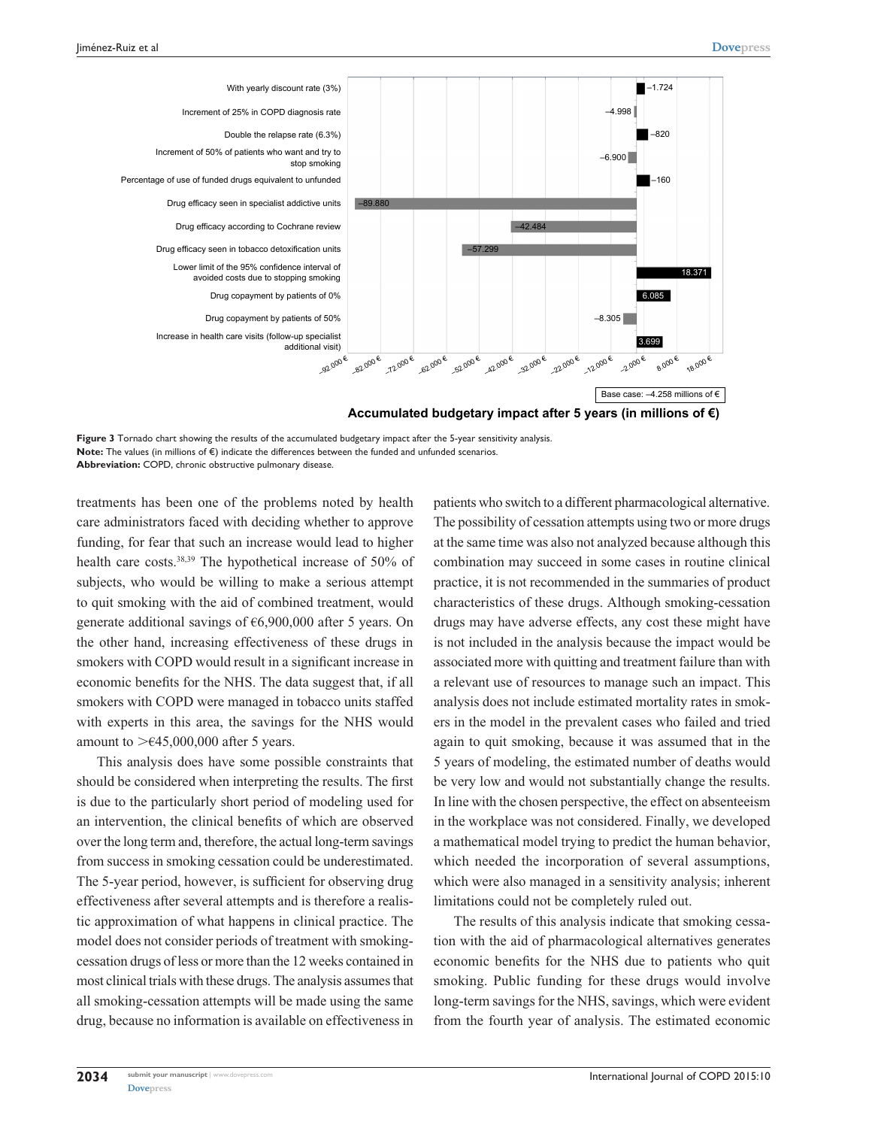

**Figure 3** Tornado chart showing the results of the accumulated budgetary impact after the 5-year sensitivity analysis. Note: The values (in millions of €) indicate the differences between the funded and unfunded scenarios. **Abbreviation:** COPD, chronic obstructive pulmonary disease.

treatments has been one of the problems noted by health care administrators faced with deciding whether to approve funding, for fear that such an increase would lead to higher health care costs.<sup>38,39</sup> The hypothetical increase of 50% of subjects, who would be willing to make a serious attempt to quit smoking with the aid of combined treatment, would generate additional savings of €6,900,000 after 5 years. On the other hand, increasing effectiveness of these drugs in smokers with COPD would result in a significant increase in economic benefits for the NHS. The data suggest that, if all smokers with COPD were managed in tobacco units staffed with experts in this area, the savings for the NHS would amount to  $> \in 45,000,000$  after 5 years.

This analysis does have some possible constraints that should be considered when interpreting the results. The first is due to the particularly short period of modeling used for an intervention, the clinical benefits of which are observed over the long term and, therefore, the actual long-term savings from success in smoking cessation could be underestimated. The 5-year period, however, is sufficient for observing drug effectiveness after several attempts and is therefore a realistic approximation of what happens in clinical practice. The model does not consider periods of treatment with smokingcessation drugs of less or more than the 12 weeks contained in most clinical trials with these drugs. The analysis assumes that all smoking-cessation attempts will be made using the same drug, because no information is available on effectiveness in patients who switch to a different pharmacological alternative. The possibility of cessation attempts using two or more drugs at the same time was also not analyzed because although this combination may succeed in some cases in routine clinical practice, it is not recommended in the summaries of product characteristics of these drugs. Although smoking-cessation drugs may have adverse effects, any cost these might have is not included in the analysis because the impact would be associated more with quitting and treatment failure than with a relevant use of resources to manage such an impact. This analysis does not include estimated mortality rates in smokers in the model in the prevalent cases who failed and tried again to quit smoking, because it was assumed that in the 5 years of modeling, the estimated number of deaths would be very low and would not substantially change the results. In line with the chosen perspective, the effect on absenteeism in the workplace was not considered. Finally, we developed a mathematical model trying to predict the human behavior, which needed the incorporation of several assumptions, which were also managed in a sensitivity analysis; inherent limitations could not be completely ruled out.

The results of this analysis indicate that smoking cessation with the aid of pharmacological alternatives generates economic benefits for the NHS due to patients who quit smoking. Public funding for these drugs would involve long-term savings for the NHS, savings, which were evident from the fourth year of analysis. The estimated economic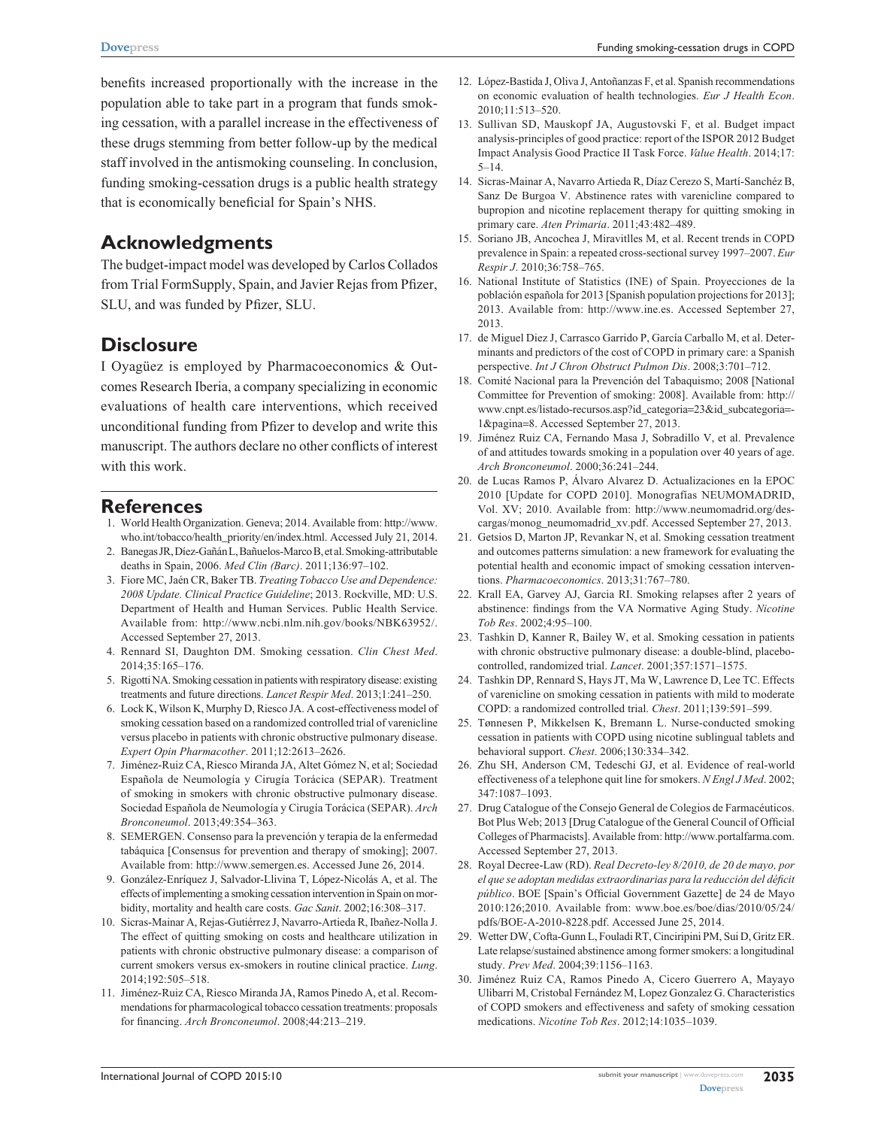benefits increased proportionally with the increase in the population able to take part in a program that funds smoking cessation, with a parallel increase in the effectiveness of these drugs stemming from better follow-up by the medical staff involved in the antismoking counseling. In conclusion, funding smoking-cessation drugs is a public health strategy that is economically beneficial for Spain's NHS.

### **Acknowledgments**

The budget-impact model was developed by Carlos Collados from Trial FormSupply, Spain, and Javier Rejas from Pfizer, SLU, and was funded by Pfizer, SLU.

### **Disclosure**

I Oyagüez is employed by Pharmacoeconomics & Outcomes Research Iberia, a company specializing in economic evaluations of health care interventions, which received unconditional funding from Pfizer to develop and write this manuscript. The authors declare no other conflicts of interest with this work.

### **References**

- 1. World Health Organization. Geneva; 2014. Available from: [http://www.](http://www.who.int/tobacco/health_priority/en/index.html) [who.int/tobacco/health\\_priority/en/index.html](http://www.who.int/tobacco/health_priority/en/index.html). Accessed July 21, 2014.
- 2. Banegas JR, Díez-Gañán L, Bañuelos-Marco B, et al. Smoking-attributable deaths in Spain, 2006. *Med Clin (Barc)*. 2011;136:97–102.
- 3. Fiore MC, Jaén CR, Baker TB. *Treating Tobacco Use and Dependence: 2008 Update. Clinical Practice Guideline*; 2013. Rockville, MD: U.S. Department of Health and Human Services. Public Health Service. Available from: <http://www.ncbi.nlm.nih.gov/books/NBK63952/>. Accessed September 27, 2013.
- 4. Rennard SI, Daughton DM. Smoking cessation. *Clin Chest Med*. 2014;35:165–176.
- 5. Rigotti NA. Smoking cessation in patients with respiratory disease: existing treatments and future directions. *Lancet Respir Med*. 2013;1:241–250.
- 6. Lock K, Wilson K, Murphy D, Riesco JA. A cost-effectiveness model of smoking cessation based on a randomized controlled trial of varenicline versus placebo in patients with chronic obstructive pulmonary disease. *Expert Opin Pharmacother*. 2011;12:2613–2626.
- 7. Jiménez-Ruiz CA, Riesco Miranda JA, Altet Gómez N, et al; Sociedad Española de Neumología y Cirugía Torácica (SEPAR). Treatment of smoking in smokers with chronic obstructive pulmonary disease. Sociedad Española de Neumología y Cirugía Torácica (SEPAR). *Arch Bronconeumol*. 2013;49:354–363.
- 8. SEMERGEN. Consenso para la prevención y terapia de la enfermedad tabáquica [Consensus for prevention and therapy of smoking]; 2007. Available from: <http://www.semergen.es>. Accessed June 26, 2014.
- 9. González-Enríquez J, Salvador-Llivina T, López-Nicolás A, et al. The effects of implementing a smoking cessation intervention in Spain on morbidity, mortality and health care costs. *Gac Sanit*. 2002;16:308–317.
- 10. Sicras-Mainar A, Rejas-Gutiérrez J, Navarro-Artieda R, Ibañez-Nolla J. The effect of quitting smoking on costs and healthcare utilization in patients with chronic obstructive pulmonary disease: a comparison of current smokers versus ex-smokers in routine clinical practice. *Lung*. 2014;192:505–518.
- 11. Jiménez-Ruiz CA, Riesco Miranda JA, Ramos Pinedo A, et al. Recommendations for pharmacological tobacco cessation treatments: proposals for financing. *Arch Bronconeumol*. 2008;44:213–219.
- 12. López-Bastida J, Oliva J, Antoñanzas F, et al. Spanish recommendations on economic evaluation of health technologies. *Eur J Health Econ*. 2010;11:513–520.
- 13. Sullivan SD, Mauskopf JA, Augustovski F, et al. Budget impact analysis-principles of good practice: report of the ISPOR 2012 Budget Impact Analysis Good Practice II Task Force. *Value Health*. 2014;17:  $5-14.$
- 14. Sicras-Mainar A, Navarro Artieda R, Díaz Cerezo S, Martí-Sanchéz B, Sanz De Burgoa V. Abstinence rates with varenicline compared to bupropion and nicotine replacement therapy for quitting smoking in primary care. *Aten Primaria*. 2011;43:482–489.
- 15. Soriano JB, Ancochea J, Miravitlles M, et al. Recent trends in COPD prevalence in Spain: a repeated cross-sectional survey 1997–2007. *Eur Respir J*. 2010;36:758–765.
- 16. National Institute of Statistics (INE) of Spain. Proyecciones de la población española for 2013 [Spanish population projections for 2013]; 2013. Available from: <http://www.ine.es>. Accessed September 27, 2013.
- 17. de Miguel Diez J, Carrasco Garrido P, García Carballo M, et al. Determinants and predictors of the cost of COPD in primary care: a Spanish perspective. *Int J Chron Obstruct Pulmon Dis*. 2008;3:701–712.
- 18. Comité Nacional para la Prevención del Tabaquismo; 2008 [National Committee for Prevention of smoking: 2008]. Available from: [http://](http://www.cnpt.es/listado-recursos.asp?id_categoria=23&id_subcategoria=-1&pagina=8) [www.cnpt.es/listado-recursos.asp?id\\_categoria](http://www.cnpt.es/listado-recursos.asp?id_categoria=23&id_subcategoria=-1&pagina=8)=23&id\_subcategoria=- [1&pagina](http://www.cnpt.es/listado-recursos.asp?id_categoria=23&id_subcategoria=-1&pagina=8)=8. Accessed September 27, 2013.
- 19. Jiménez Ruiz CA, Fernando Masa J, Sobradillo V, et al. Prevalence of and attitudes towards smoking in a population over 40 years of age. *Arch Bronconeumol*. 2000;36:241–244.
- 20. de Lucas Ramos P, Álvaro Alvarez D. Actualizaciones en la EPOC 2010 [Update for COPD 2010]. Monografías NEUMOMADRID, Vol. XV; 2010. Available from: [http://www.neumomadrid.org/des](http://www.neumomadrid.org/descargas/monog_neumomadrid_xv.pdf)[cargas/monog\\_neumomadrid\\_xv.pdf.](http://www.neumomadrid.org/descargas/monog_neumomadrid_xv.pdf) Accessed September 27, 2013.
- 21. Getsios D, Marton JP, Revankar N, et al. Smoking cessation treatment and outcomes patterns simulation: a new framework for evaluating the potential health and economic impact of smoking cessation interventions. *Pharmacoeconomics*. 2013;31:767–780.
- 22. Krall EA, Garvey AJ, Garcia RI. Smoking relapses after 2 years of abstinence: findings from the VA Normative Aging Study. *Nicotine Tob Res*. 2002;4:95–100.
- 23. Tashkin D, Kanner R, Bailey W, et al. Smoking cessation in patients with chronic obstructive pulmonary disease: a double-blind, placebocontrolled, randomized trial. *Lancet*. 2001;357:1571–1575.
- 24. Tashkin DP, Rennard S, Hays JT, Ma W, Lawrence D, Lee TC. Effects of varenicline on smoking cessation in patients with mild to moderate COPD: a randomized controlled trial. *Chest*. 2011;139:591–599.
- 25. Tønnesen P, Mikkelsen K, Bremann L. Nurse-conducted smoking cessation in patients with COPD using nicotine sublingual tablets and behavioral support. *Chest*. 2006;130:334–342.
- 26. Zhu SH, Anderson CM, Tedeschi GJ, et al. Evidence of real-world effectiveness of a telephone quit line for smokers. *N Engl J Med*. 2002; 347:1087–1093.
- 27. Drug Catalogue of the Consejo General de Colegios de Farmacéuticos. Bot Plus Web; 2013 [Drug Catalogue of the General Council of Official Colleges of Pharmacists]. Available from:<http://www.portalfarma.com>. Accessed September 27, 2013.
- 28. Royal Decree-Law (RD). *Real Decreto-ley 8/2010, de 20 de mayo, por el que se adoptan medidas extraordinarias para la reducción del déficit público*. BOE [Spain's Official Government Gazette] de 24 de Mayo 2010:126;2010. Available from: [www.boe.es/boe/dias/2010/05/24/](www.boe.es/boe/dias/2010/05/24/pdfs/BOE-A-2010-8228.pdf) [pdfs/BOE-A-2010-8228.pdf](www.boe.es/boe/dias/2010/05/24/pdfs/BOE-A-2010-8228.pdf). Accessed June 25, 2014.
- 29. Wetter DW, Cofta-Gunn L, Fouladi RT, Cinciripini PM, Sui D, Gritz ER. Late relapse/sustained abstinence among former smokers: a longitudinal study. *Prev Med*. 2004;39:1156–1163.
- 30. Jiménez Ruiz CA, Ramos Pinedo A, Cicero Guerrero A, Mayayo Ulibarri M, Cristobal Fernández M, Lopez Gonzalez G. Characteristics of COPD smokers and effectiveness and safety of smoking cessation medications. *Nicotine Tob Res*. 2012;14:1035–1039.

**2035**